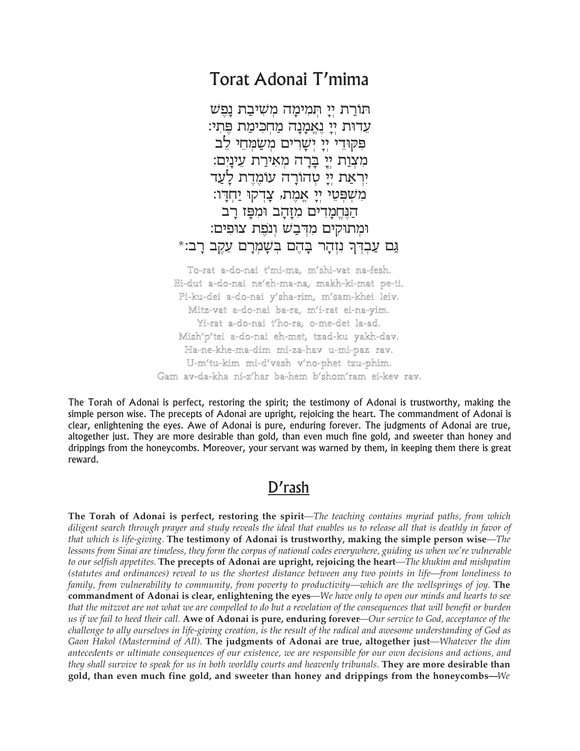## Torat Adonai T'mima

תורת יי תמימה משיבת נפש עדות יי נאמנה מחכימת פתי: פקודי יי ישרים משמחי לב מִצְוַת יְיָ בְרָה מְאִירַת עֵינָיִם: יראת יי טהורה עומדת לעד מִשְׁפְּטֵי יִיַ אֲמֶת, צַדְקוּ יַחְדַו: הַנֵּחֲמַדִים מְזַהַב וּמִפָּז רַב ומתוקים מדבש ונפת צופים: גַּם עַבְדְךָ נִזְהַר בַּהֶם בִּשָׁמְרַם עֵקֵב רַב׃\*

To-rat a-do-nai t'mi-ma, m'shi-vat na-fesh. Ei-dut a-do-nai ne'eh-ma-na, makh-ki-mat pe-ti. Pi-ku-dei a-do-nai y'sha-rim, m'sam-khei leiv. Mitz-vat a-do-nai ba-ra, m'i-rat ei-na-yim. Yi-rat a-do-nai t'ho-ra, o-me-det la-ad. Mish'p'tei a-do-nai eh-met, tzad-ku yakh-dav. Ha-ne-khe-ma-dim mi-za-hav u-mi-paz rav. U-m'tu-kim mi-d'vash v'no-phet tzu-phim. Gam av-da-kha ni-z'har ba-hem b'shom'ram ei-kev rav.

The Torah of Adonai is perfect, restoring the spirit; the testimony of Adonai is trustworthy, making the simple person wise. The precepts of Adonai are upright, rejoicing the heart. The commandment of Adonai is clear, enlightening the eyes. Awe of Adonai is pure, enduring forever. The judgments of Adonai are true, altogether just. They are more desirable than gold, than even much fine gold, and sweeter than honey and drippings from the honeycombs. Moreover, your servant was warned by them, in keeping them there is great reward.

## D'rash

The Torah of Adonai is perfect, restoring the spirit-The teaching contains myriad paths, from which diligent search through prayer and study reveals the ideal that enables us to release all that is deathly in favor of that which is life-giving. The testimony of Adonai is trustworthy, making the simple person wise—The lessons from Sinai are timeless, they form the corpus of national codes everywhere, guiding us when we're vulnerable to our selfish appetites. The precepts of Adonai are upright, rejoicing the heart—The khukim and mishpatim (statutes and ordinances) reveal to us the shortest distance between any two points in life—from loneliness to family, from vulnerability to community, from poverty to productivity—which are the wellsprings of joy. The commandment of Adonai is clear, enlightening the eyes-We have only to open our minds and hearts to see that the mitzvot are not what we are compelled to do but a revelation of the consequences that will benefit or burden us if we fail to heed their call. Awe of Adonai is pure, enduring forever—Our service to God, acceptance of the challenge to ally ourselves in life-giving creation, is the result of the radical and awesome understanding of God as Gaon Hakol (Mastermind of All). The judgments of Adonai are true, altogether just—Whatever the dim antecedents or ultimate consequences of our existence, we are responsible for our own decisions and actions, and they shall survive to speak for us in both worldly courts and heavenly tribunals. They are more desirable than gold, than even much fine gold, and sweeter than honey and drippings from the honeycombs—We